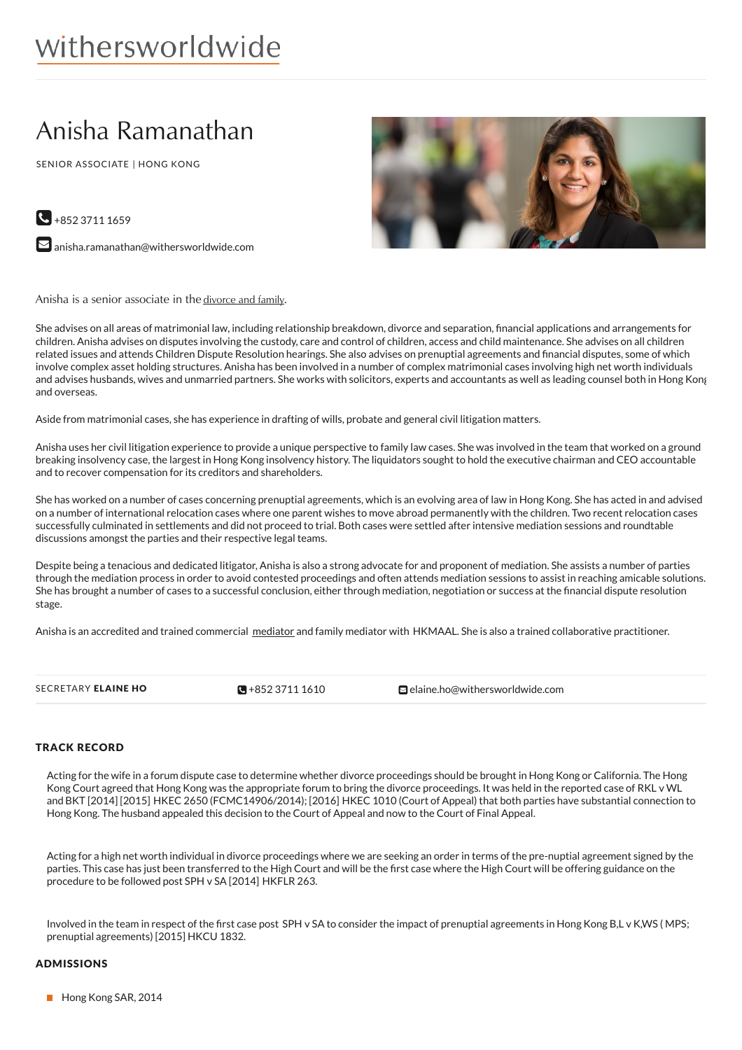# withersworldwide

# Anisha Ramanathan

SENIOR ASSOCIATE | HONG KONG



 $\bigodot$  +852 3711 1659

 $\blacktriangleright$  [anisha.ramanathan@withersworldwide.com](mailto:anisha.ramanathan@withersworldwide.com?subject=Website Enquiry - Profile Page)

Anisha is a senior associate in the [divorce](https://www.withersworldwide.com/en-gb/divorce-and-familyteam) and family.

She advises on all areas of matrimonial law, including relationship breakdown, divorce and separation, financial applications and arrangements for children. Anisha advises on disputes involving the custody, care and control of children, access and child maintenance. She advises on all children related issues and attends Children Dispute Resolution hearings. She also advises on prenuptial agreements and financial disputes, some of which involve complex asset holding structures. Anisha has been involved in a number of complex matrimonial cases involving high net worth individuals and advises husbands, wives and unmarried partners. She works with solicitors, experts and accountants as well as leading counsel both in Hong Kong and overseas.

Aside from matrimonial cases, she has experience in drafting of wills, probate and general civil litigation matters.

Anisha uses her civil litigation experience to provide a unique perspective to family law cases. She was involved in the team that worked on a ground breaking insolvency case, the largest in Hong Kong insolvency history. The liquidators sought to hold the executive chairman and CEO accountable and to recover compensation for its creditors and shareholders.

She has worked on a number of cases concerning prenuptial agreements, which is an evolving area of law in Hong Kong. She has acted in and advised on a number of international relocation cases where one parent wishes to move abroad permanently with the children. Two recent relocation cases successfully culminated in settlements and did not proceed to trial. Both cases were settled after intensive mediation sessions and roundtable discussions amongst the parties and their respective legal teams.

Despite being a tenacious and dedicated litigator, Anisha is also a strong advocate for and proponent of mediation. She assists a number of parties through the mediation process in order to avoid contested proceedings and often attends mediation sessions to assist in reaching amicable solutions. She has brought a number of cases to a successful conclusion, either through mediation, negotiation or success at the financial dispute resolution stage.

Anisha is an accredited and trained commercial [mediator](https://www.withersworldwide.com/en-gb/mediation_1) and family mediator with HKMAAL. She is also a trained collaborative practitioner.

 $\sqrt{9} + 85237111610$ 

SECRETARY ELAINE HO **[+852](tel:+852 3711 1610) 3711 1610** [elaine.ho@withersworldwide.com](mailto:elaine.ho@withersworldwide.com)

#### TRACK RECORD

Acting for the wife in a forum dispute case to determine whether divorce proceedings should be brought in Hong Kong or California. The Hong Kong Court agreed that Hong Kong was the appropriate forum to bring the divorce proceedings. It was held in the reported case of RKL v WL and BKT [2014] [2015] HKEC 2650 (FCMC14906/2014); [2016] HKEC 1010 (Court of Appeal) that both parties have substantial connection to Hong Kong. The husband appealed this decision to the Court of Appeal and now to the Court of Final Appeal.

Acting for a high net worth individual in divorce proceedings where we are seeking an order in terms of the pre-nuptial agreement signed by the parties. This case has just been transferred to the High Court and will be the first case where the High Court will be offering guidance on the procedure to be followed post SPH v SA [2014] HKFLR 263.

Involved in the team in respect of the first case post SPH v SA to consider the impact of prenuptial agreements in Hong Kong B,L v K,WS (MPS; prenuptial agreements) [2015] HKCU 1832.

#### ADMISSIONS

Hong Kong SAR, 2014